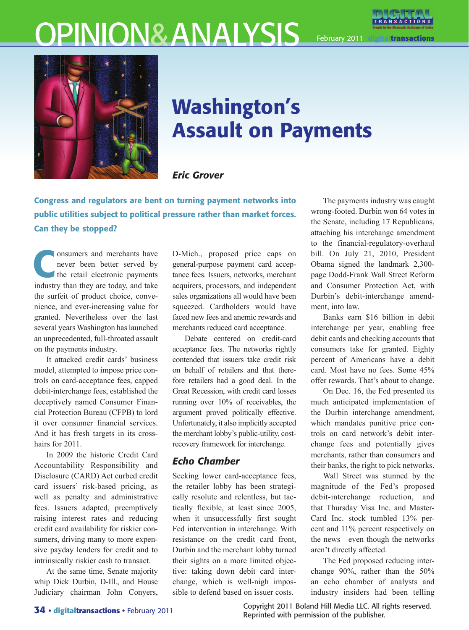# OPINION&ANALYSIS



February 2011 **digitaltransactions**



# Washington's Assault on Payments

## *Eric Grover*

Congress and regulators are bent on turning payment networks into public utilities subject to political pressure rather than market forces. Can they be stopped?

onsumers and merchants have<br>
never been better served by<br>
the retail electronic payments<br>
industry than they are taken and take never been better served by industry than they are today, and take the surfeit of product choice, convenience, and ever-increasing value for granted. Nevertheless over the last several years Washington has launched an unprecedented, full-throated assault on the payments industry.

It attacked credit cards' business model, attempted to impose price controls on card-acceptance fees, capped debit-interchange fees, established the deceptively named Consumer Financial Protection Bureau (CFPB) to lord it over consumer financial services. And it has fresh targets in its crosshairs for 2011

In 2009 the historic Credit Card Accountability Responsibility and Disclosure (CARD) Act curbed credit card issuers' risk-based pricing, as well as penalty and administrative fees. Issuers adapted, preemptively raising interest rates and reducing credit card availability for riskier consumers, driving many to more expensive payday lenders for credit and to intrinsically riskier cash to transact.

At the same time, Senate majority whip Dick Durbin, D-Ill., and House Judiciary chairman John Conyers,

D-Mich., proposed price caps on general-purpose payment card acceptance fees. Issuers, networks, merchant acquirers, processors, and independent sales organizations all would have been squeezed. Cardholders would have faced new fees and anemic rewards and merchants reduced card acceptance.

Debate centered on credit-card acceptance fees. The networks rightly contended that issuers take credit risk on behalf of retailers and that therefore retailers had a good deal. In the Great Recession, with credit card losses running over 10% of receivables, the argument proved politically effective. Unfortunately, it also implicitly accepted the merchant lobby's public-utility, costrecovery framework for interchange.

# *Echo Chamber*

Seeking lower card-acceptance fees, the retailer lobby has been strategically resolute and relentless, but tactically flexible, at least since 2005, when it unsuccessfully first sought Fed intervention in interchange. With resistance on the credit card front, Durbin and the merchant lobby turned their sights on a more limited objective: taking down debit card interchange, which is well-nigh impossible to defend based on issuer costs.

The payments industry was caught wrong-footed. Durbin won 64 votes in the Senate, including 17 Republicans, attaching his interchange amendment to the financial-regulatory-overhaul bill. On July 21, 2010, President Obama signed the landmark 2,300 page Dodd-Frank Wall Street Reform and Consumer Protection Act, with Durbin's debit-interchange amendment, into law.

Banks earn \$16 billion in debit interchange per year, enabling free debit cards and checking accounts that consumers take for granted. Eighty percent of Americans have a debit card. Most have no fees. Some 45% offer rewards. That's about to change.

On Dec. 16, the Fed presented its much anticipated implementation of the Durbin interchange amendment, which mandates punitive price controls on card network's debit interchange fees and potentially gives merchants, rather than consumers and their banks, the right to pick networks.

Wall Street was stunned by the magnitude of the Fed's proposed debit-interchange reduction, and that Thursday Visa Inc. and Master-Card Inc. stock tumbled 13% percent and 11% percent respectively on the news—even though the networks aren't directly affected.

The Fed proposed reducing interchange 90%, rather than the 50% an echo chamber of analysts and industry insiders had been telling

Copyright 2011 Boland Hill Media LLC. All rights reserved. Reprinted with permission of the publisher.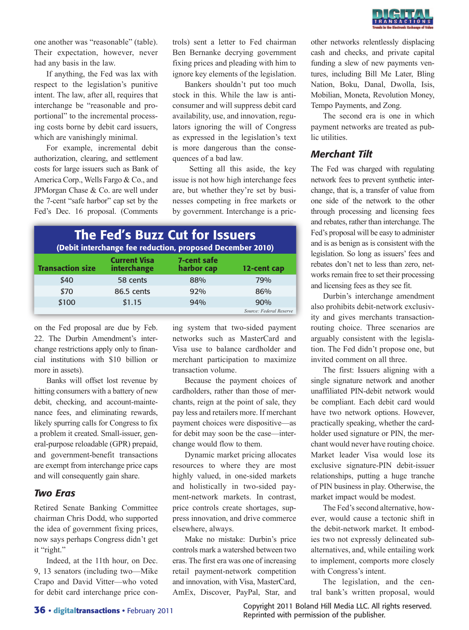

one another was "reasonable" (table). Their expectation, however, never had any basis in the law.

If anything, the Fed was lax with respect to the legislation's punitive intent. The law, after all, requires that interchange be "reasonable and proportional" to the incremental processing costs borne by debit card issuers, which are vanishingly minimal.

For example, incremental debit authorization, clearing, and settlement costs for large issuers such as Bank of America Corp., Wells Fargo & Co., and JPMorgan Chase & Co. are well under the 7-cent "safe harbor" cap set by the Fed's Dec. 16 proposal. (Comments trols) sent a letter to Fed chairman Ben Bernanke decrying government fixing prices and pleading with him to ignore key elements of the legislation.

Bankers shouldn't put too much stock in this. While the law is anticonsumer and will suppress debit card availability, use, and innovation, regulators ignoring the will of Congress as expressed in the legislation's text is more dangerous than the consequences of a bad law.

 Setting all this aside, the key issue is not how high interchange fees are, but whether they're set by businesses competing in free markets or by government. Interchange is a pric-

#### The Fed's Buzz Cut for Issuers (Debit interchange fee reduction, proposed December 2010) Current Visa 7-cent safe

| <b>Transaction size</b> | счители тэч<br>interchange | .<br>harbor cap | 12-cent cap             |
|-------------------------|----------------------------|-----------------|-------------------------|
| \$40                    | 58 cents                   | 88%             | <b>79%</b>              |
| \$70                    | 86.5 cents                 | 92%             | 86%                     |
| \$100                   | \$1.15                     | 94%             | 90%                     |
|                         |                            |                 | Source: Federal Reserve |

on the Fed proposal are due by Feb. 22. The Durbin Amendment's interchange restrictions apply only to financial institutions with \$10 billion or more in assets).

Banks will offset lost revenue by hitting consumers with a battery of new debit, checking, and account-maintenance fees, and eliminating rewards, likely spurring calls for Congress to fix a problem it created. Small-issuer, general-purpose reloadable (GPR) prepaid, and government-benefit transactions are exempt from interchange price caps and will consequently gain share.

#### *Two Eras*

Retired Senate Banking Committee chairman Chris Dodd, who supported the idea of government fixing prices, now says perhaps Congress didn't get it "right."

Indeed, at the 11th hour, on Dec. 9, 13 senators (including two—Mike Crapo and David Vitter—who voted for debit card interchange price coning system that two-sided payment networks such as MasterCard and Visa use to balance cardholder and merchant participation to maximize transaction volume.

Because the payment choices of cardholders, rather than those of merchants, reign at the point of sale, they pay less and retailers more. If merchant payment choices were dispositive—as for debit may soon be the case—interchange would flow to them.

Dynamic market pricing allocates resources to where they are most highly valued, in one-sided markets and holistically in two-sided payment-network markets. In contrast, price controls create shortages, suppress innovation, and drive commerce elsewhere, always.

Make no mistake: Durbin's price controls mark a watershed between two eras. The first era was one of increasing retail payment-network competition and innovation, with Visa, MasterCard, AmEx, Discover, PayPal, Star, and

other networks relentlessly displacing cash and checks, and private capital funding a slew of new payments ventures, including Bill Me Later, Bling Nation, Boku, Danal, Dwolla, Isis, Mobilian, Moneta, Revolution Money, Tempo Payments, and Zong.

The second era is one in which payment networks are treated as public utilities.

### *Merchant Tilt*

The Fed was charged with regulating network fees to prevent synthetic interchange, that is, a transfer of value from one side of the network to the other through processing and licensing fees and rebates, rather than interchange. The Fed's proposal will be easy to administer and is as benign as is consistent with the legislation. So long as issuers' fees and rebates don't net to less than zero, networks remain free to set their processing and licensing fees as they see fit.

Durbin's interchange amendment also prohibits debit-network exclusivity and gives merchants transactionrouting choice. Three scenarios are arguably consistent with the legislation. The Fed didn't propose one, but invited comment on all three.

The first: Issuers aligning with a single signature network and another unaffiliated PIN-debit network would be compliant. Each debit card would have two network options. However, practically speaking, whether the cardholder used signature or PIN, the merchant would never have routing choice. Market leader Visa would lose its exclusive signature-PIN debit-issuer relationships, putting a huge tranche of PIN business in play. Otherwise, the market impact would be modest.

The Fed's second alternative, however, would cause a tectonic shift in the debit-network market. It embodies two not expressly delineated subalternatives, and, while entailing work to implement, comports more closely with Congress's intent.

The legislation, and the central bank's written proposal, would

Copyright 2011 Boland Hill Media LLC. All rights reserved. Reprinted with permission of the publisher.